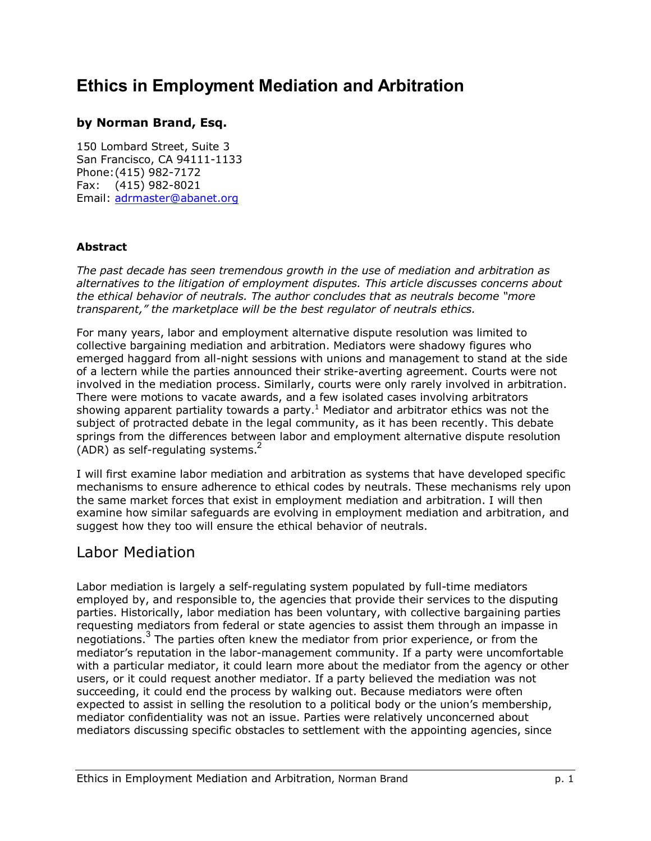# **Ethics in Employment Mediation and Arbitration**

### **by Norman Brand, Esq.**

150 Lombard Street, Suite 3 San Francisco, CA 94111-1133 Phone: (415) 982-7172 Fax: (415) 982-8021 Email: adrmaster@abanet.org

#### **Abstract**

*The past decade has seen tremendous growth in the use of mediation and arbitration as alternatives to the litigation of employment disputes. This article discusses concerns about the ethical behavior of neutrals. The author concludes that as neutrals become "more transparent,"* the marketplace will be the best regulator of neutrals ethics.

For many years, labor and employment alternative dispute resolution was limited to collective bargaining mediation and arbitration. Mediators were shadowy figures who emerged haggard from all-night sessions with unions and management to stand at the side of a lectern while the parties announced their strike-averting agreement. Courts were not involved in the mediation process. Similarly, courts were only rarely involved in arbitration. There were motions to vacate awards, and a few isolated cases involving arbitrators showing apparent partiality towards a party.<sup>1</sup> Mediator and arbitrator ethics was not the subject of protracted debate in the legal community, as it has been recently. This debate springs from the differences between labor and employment alternative dispute resolution  $(ADR)$  as self-regulating systems.<sup>2</sup>

I will first examine labor mediation and arbitration as systems that have developed specific mechanisms to ensure adherence to ethical codes by neutrals. These mechanisms rely upon the same market forces that exist in employment mediation and arbitration. I will then examine how similar safeguards are evolving in employment mediation and arbitration, and suggest how they too will ensure the ethical behavior of neutrals.

### Labor Mediation

Labor mediation is largely a self-regulating system populated by full-time mediators employed by, and responsible to, the agencies that provide their services to the disputing parties. Historically, labor mediation has been voluntary, with collective bargaining parties requesting mediators from federal or state agencies to assist them through an impasse in negotiations.<sup>3</sup> The parties often knew the mediator from prior experience, or from the mediator's reputation in the labor-management community. If a party were uncomfortable with a particular mediator, it could learn more about the mediator from the agency or other users, or it could request another mediator. If a party believed the mediation was not succeeding, it could end the process by walking out. Because mediators were often expected to assist in selling the resolution to a political body or the union's membership, mediator confidentiality was not an issue. Parties were relatively unconcerned about mediators discussing specific obstacles to settlement with the appointing agencies, since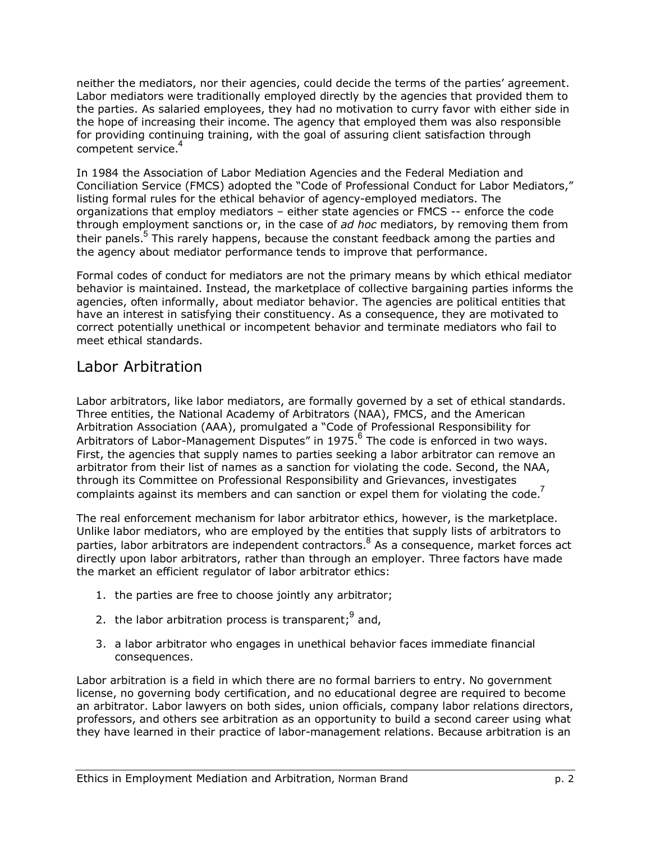neither the mediators, nor their agencies, could decide the terms of the partiesí agreement. Labor mediators were traditionally employed directly by the agencies that provided them to the parties. As salaried employees, they had no motivation to curry favor with either side in the hope of increasing their income. The agency that employed them was also responsible for providing continuing training, with the goal of assuring client satisfaction through competent service.<sup>4</sup>

In 1984 the Association of Labor Mediation Agencies and the Federal Mediation and Conciliation Service (FMCS) adopted the "Code of Professional Conduct for Labor Mediators," listing formal rules for the ethical behavior of agency-employed mediators. The organizations that employ mediators  $-$  either state agencies or FMCS  $-$  enforce the code through employment sanctions or, in the case of *ad hoc* mediators, by removing them from their panels.<sup>5</sup> This rarely happens, because the constant feedback among the parties and the agency about mediator performance tends to improve that performance.

Formal codes of conduct for mediators are not the primary means by which ethical mediator behavior is maintained. Instead, the marketplace of collective bargaining parties informs the agencies, often informally, about mediator behavior. The agencies are political entities that have an interest in satisfying their constituency. As a consequence, they are motivated to correct potentially unethical or incompetent behavior and terminate mediators who fail to meet ethical standards.

### Labor Arbitration

Labor arbitrators, like labor mediators, are formally governed by a set of ethical standards. Three entities, the National Academy of Arbitrators (NAA), FMCS, and the American Arbitration Association (AAA), promulgated a "Code of Professional Responsibility for Arbitrators of Labor-Management Disputes" in 1975.  $6$  The code is enforced in two ways. First, the agencies that supply names to parties seeking a labor arbitrator can remove an arbitrator from their list of names as a sanction for violating the code. Second, the NAA, through its Committee on Professional Responsibility and Grievances, investigates complaints against its members and can sanction or expel them for violating the code.<sup>7</sup>

The real enforcement mechanism for labor arbitrator ethics, however, is the marketplace. Unlike labor mediators, who are employed by the entities that supply lists of arbitrators to parties, labor arbitrators are independent contractors.  $8$  As a consequence, market forces act directly upon labor arbitrators, rather than through an employer. Three factors have made the market an efficient regulator of labor arbitrator ethics:

- 1. the parties are free to choose jointly any arbitrator;
- 2. the labor arbitration process is transparent;  $9$  and,
- 3. a labor arbitrator who engages in unethical behavior faces immediate financial consequences.

Labor arbitration is a field in which there are no formal barriers to entry. No government license, no governing body certification, and no educational degree are required to become an arbitrator. Labor lawyers on both sides, union officials, company labor relations directors, professors, and others see arbitration as an opportunity to build a second career using what they have learned in their practice of labor-management relations. Because arbitration is an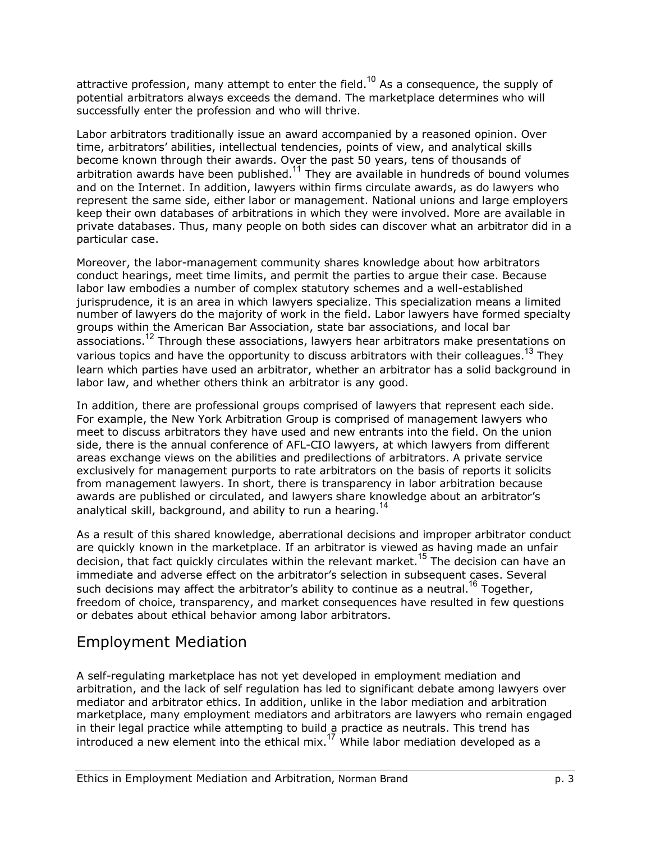attractive profession, many attempt to enter the field.<sup>10</sup> As a consequence, the supply of potential arbitrators always exceeds the demand. The marketplace determines who will successfully enter the profession and who will thrive.

Labor arbitrators traditionally issue an award accompanied by a reasoned opinion. Over time, arbitratorsí abilities, intellectual tendencies, points of view, and analytical skills become known through their awards. Over the past 50 years, tens of thousands of arbitration awards have been published.<sup>11</sup> They are available in hundreds of bound volumes and on the Internet. In addition, lawyers within firms circulate awards, as do lawyers who represent the same side, either labor or management. National unions and large employers keep their own databases of arbitrations in which they were involved. More are available in private databases. Thus, many people on both sides can discover what an arbitrator did in a particular case.

Moreover, the labor-management community shares knowledge about how arbitrators conduct hearings, meet time limits, and permit the parties to argue their case. Because labor law embodies a number of complex statutory schemes and a well-established jurisprudence, it is an area in which lawyers specialize. This specialization means a limited number of lawyers do the majority of work in the field. Labor lawyers have formed specialty groups within the American Bar Association, state bar associations, and local bar associations.<sup>12</sup> Through these associations, lawyers hear arbitrators make presentations on various topics and have the opportunity to discuss arbitrators with their colleagues.<sup>13</sup> They learn which parties have used an arbitrator, whether an arbitrator has a solid background in labor law, and whether others think an arbitrator is any good.

In addition, there are professional groups comprised of lawyers that represent each side. For example, the New York Arbitration Group is comprised of management lawyers who meet to discuss arbitrators they have used and new entrants into the field. On the union side, there is the annual conference of AFL-CIO lawyers, at which lawyers from different areas exchange views on the abilities and predilections of arbitrators. A private service exclusively for management purports to rate arbitrators on the basis of reports it solicits from management lawyers. In short, there is transparency in labor arbitration because awards are published or circulated, and lawyers share knowledge about an arbitrator's analytical skill, background, and ability to run a hearing.<sup>14</sup>

As a result of this shared knowledge, aberrational decisions and improper arbitrator conduct are quickly known in the marketplace. If an arbitrator is viewed as having made an unfair decision, that fact quickly circulates within the relevant market.<sup>15</sup> The decision can have an immediate and adverse effect on the arbitrator's selection in subsequent cases. Several such decisions may affect the arbitrator's ability to continue as a neutral.<sup>16</sup> Together, freedom of choice, transparency, and market consequences have resulted in few questions or debates about ethical behavior among labor arbitrators.

## Employment Mediation

A self-regulating marketplace has not yet developed in employment mediation and arbitration, and the lack of self regulation has led to significant debate among lawyers over mediator and arbitrator ethics. In addition, unlike in the labor mediation and arbitration marketplace, many employment mediators and arbitrators are lawyers who remain engaged in their legal practice while attempting to build a practice as neutrals. This trend has introduced a new element into the ethical mix.<sup>17</sup> While labor mediation developed as a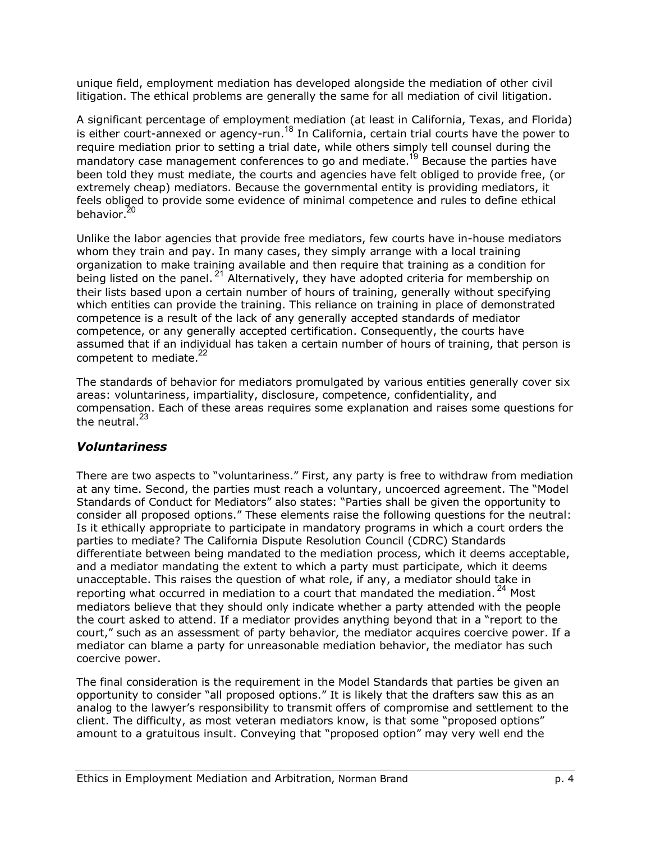unique field, employment mediation has developed alongside the mediation of other civil litigation. The ethical problems are generally the same for all mediation of civil litigation.

A significant percentage of employment mediation (at least in California, Texas, and Florida) is either court-annexed or agency-run.<sup>18</sup> In California, certain trial courts have the power to require mediation prior to setting a trial date, while others simply tell counsel during the mandatory case management conferences to go and mediate.<sup>19</sup> Because the parties have been told they must mediate, the courts and agencies have felt obliged to provide free, (or extremely cheap) mediators. Because the governmental entity is providing mediators, it feels obliged to provide some evidence of minimal competence and rules to define ethical behavior.<sup>20</sup>

Unlike the labor agencies that provide free mediators, few courts have in-house mediators whom they train and pay. In many cases, they simply arrange with a local training organization to make training available and then require that training as a condition for being listed on the panel.<sup>21</sup> Alternatively, they have adopted criteria for membership on their lists based upon a certain number of hours of training, generally without specifying which entities can provide the training. This reliance on training in place of demonstrated competence is a result of the lack of any generally accepted standards of mediator competence, or any generally accepted certification. Consequently, the courts have assumed that if an individual has taken a certain number of hours of training, that person is competent to mediate.<sup>22</sup>

The standards of behavior for mediators promulgated by various entities generally cover six areas: voluntariness, impartiality, disclosure, competence, confidentiality, and compensation. Each of these areas requires some explanation and raises some questions for the neutral.<sup>23</sup>

#### *Voluntariness*

There are two aspects to "voluntariness." First, any party is free to withdraw from mediation at any time. Second, the parties must reach a voluntary, uncoerced agreement. The "Model Standards of Conduct for Mediators" also states: "Parties shall be given the opportunity to consider all proposed options." These elements raise the following questions for the neutral: Is it ethically appropriate to participate in mandatory programs in which a court orders the parties to mediate? The California Dispute Resolution Council (CDRC) Standards differentiate between being mandated to the mediation process, which it deems acceptable, and a mediator mandating the extent to which a party must participate, which it deems unacceptable. This raises the question of what role, if any, a mediator should take in reporting what occurred in mediation to a court that mandated the mediation.<sup>24</sup> Most mediators believe that they should only indicate whether a party attended with the people the court asked to attend. If a mediator provides anything beyond that in a "report to the court," such as an assessment of party behavior, the mediator acquires coercive power. If a mediator can blame a party for unreasonable mediation behavior, the mediator has such coercive power.

The final consideration is the requirement in the Model Standards that parties be given an opportunity to consider "all proposed options." It is likely that the drafters saw this as an analog to the lawyerís responsibility to transmit offers of compromise and settlement to the client. The difficulty, as most veteran mediators know, is that some "proposed options" amount to a gratuitous insult. Conveying that "proposed option" may very well end the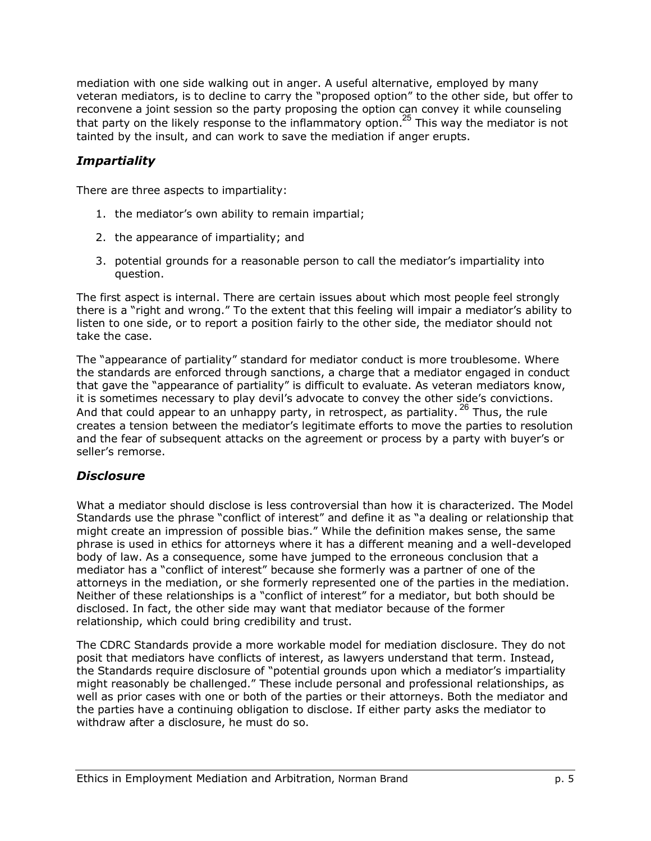mediation with one side walking out in anger. A useful alternative, employed by many veteran mediators, is to decline to carry the "proposed option" to the other side, but offer to reconvene a joint session so the party proposing the option can convey it while counseling that party on the likely response to the inflammatory option.<sup>25</sup> This way the mediator is not tainted by the insult, and can work to save the mediation if anger erupts.

#### *Impartiality*

There are three aspects to impartiality:

- 1. the mediator's own ability to remain impartial;
- 2. the appearance of impartiality; and
- 3. potential grounds for a reasonable person to call the mediatorís impartiality into question.

The first aspect is internal. There are certain issues about which most people feel strongly there is a "right and wrong." To the extent that this feeling will impair a mediator's ability to listen to one side, or to report a position fairly to the other side, the mediator should not take the case.

The "appearance of partiality" standard for mediator conduct is more troublesome. Where the standards are enforced through sanctions, a charge that a mediator engaged in conduct that gave the "appearance of partiality" is difficult to evaluate. As veteran mediators know, it is sometimes necessary to play devil's advocate to convey the other side's convictions. And that could appear to an unhappy party, in retrospect, as partiality.  $^{26}$  Thus, the rule creates a tension between the mediatorís legitimate efforts to move the parties to resolution and the fear of subsequent attacks on the agreement or process by a party with buyer's or seller's remorse.

#### *Disclosure*

What a mediator should disclose is less controversial than how it is characterized. The Model Standards use the phrase "conflict of interest" and define it as "a dealing or relationship that might create an impression of possible bias." While the definition makes sense, the same phrase is used in ethics for attorneys where it has a different meaning and a well-developed body of law. As a consequence, some have jumped to the erroneous conclusion that a mediator has a "conflict of interest" because she formerly was a partner of one of the attorneys in the mediation, or she formerly represented one of the parties in the mediation. Neither of these relationships is a "conflict of interest" for a mediator, but both should be disclosed. In fact, the other side may want that mediator because of the former relationship, which could bring credibility and trust.

The CDRC Standards provide a more workable model for mediation disclosure. They do not posit that mediators have conflicts of interest, as lawyers understand that term. Instead, the Standards require disclosure of "potential grounds upon which a mediator's impartiality might reasonably be challenged." These include personal and professional relationships, as well as prior cases with one or both of the parties or their attorneys. Both the mediator and the parties have a continuing obligation to disclose. If either party asks the mediator to withdraw after a disclosure, he must do so.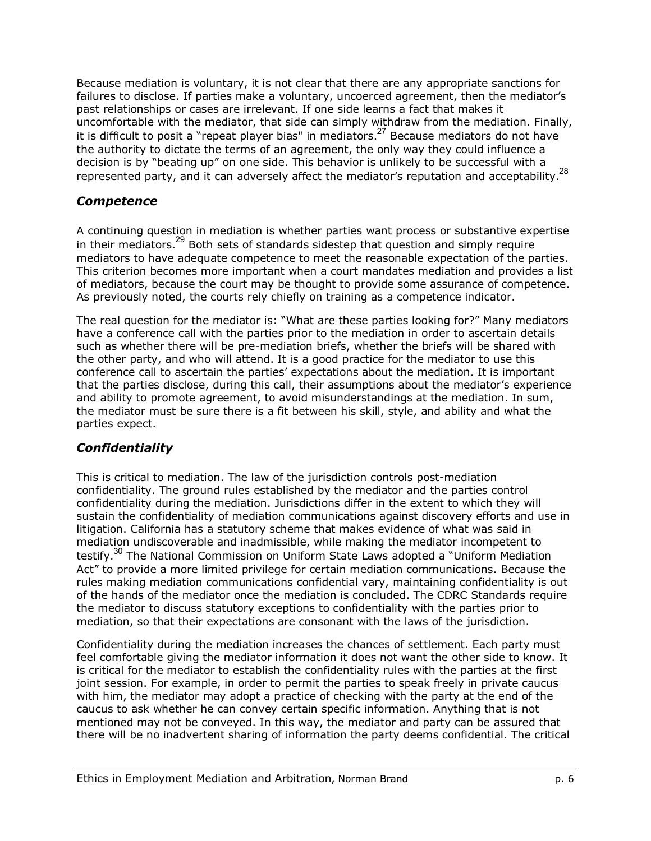Because mediation is voluntary, it is not clear that there are any appropriate sanctions for failures to disclose. If parties make a voluntary, uncoerced agreement, then the mediator's past relationships or cases are irrelevant. If one side learns a fact that makes it uncomfortable with the mediator, that side can simply withdraw from the mediation. Finally, it is difficult to posit a "repeat player bias" in mediators.<sup>27</sup> Because mediators do not have the authority to dictate the terms of an agreement, the only way they could influence a decision is by "beating up" on one side. This behavior is unlikely to be successful with a represented party, and it can adversely affect the mediator's reputation and acceptability.<sup>28</sup>

#### *Competence*

A continuing question in mediation is whether parties want process or substantive expertise in their mediators.<sup>29</sup> Both sets of standards sidestep that question and simply require mediators to have adequate competence to meet the reasonable expectation of the parties. This criterion becomes more important when a court mandates mediation and provides a list of mediators, because the court may be thought to provide some assurance of competence. As previously noted, the courts rely chiefly on training as a competence indicator.

The real question for the mediator is: "What are these parties looking for?" Many mediators have a conference call with the parties prior to the mediation in order to ascertain details such as whether there will be pre-mediation briefs, whether the briefs will be shared with the other party, and who will attend. It is a good practice for the mediator to use this conference call to ascertain the partiesí expectations about the mediation. It is important that the parties disclose, during this call, their assumptions about the mediator's experience and ability to promote agreement, to avoid misunderstandings at the mediation. In sum, the mediator must be sure there is a fit between his skill, style, and ability and what the parties expect.

#### *Confidentiality*

This is critical to mediation. The law of the jurisdiction controls post-mediation confidentiality. The ground rules established by the mediator and the parties control confidentiality during the mediation. Jurisdictions differ in the extent to which they will sustain the confidentiality of mediation communications against discovery efforts and use in litigation. California has a statutory scheme that makes evidence of what was said in mediation undiscoverable and inadmissible, while making the mediator incompetent to testify.<sup>30</sup> The National Commission on Uniform State Laws adopted a "Uniform Mediation Act" to provide a more limited privilege for certain mediation communications. Because the rules making mediation communications confidential vary, maintaining confidentiality is out of the hands of the mediator once the mediation is concluded. The CDRC Standards require the mediator to discuss statutory exceptions to confidentiality with the parties prior to mediation, so that their expectations are consonant with the laws of the jurisdiction.

Confidentiality during the mediation increases the chances of settlement. Each party must feel comfortable giving the mediator information it does not want the other side to know. It is critical for the mediator to establish the confidentiality rules with the parties at the first joint session. For example, in order to permit the parties to speak freely in private caucus with him, the mediator may adopt a practice of checking with the party at the end of the caucus to ask whether he can convey certain specific information. Anything that is not mentioned may not be conveyed. In this way, the mediator and party can be assured that there will be no inadvertent sharing of information the party deems confidential. The critical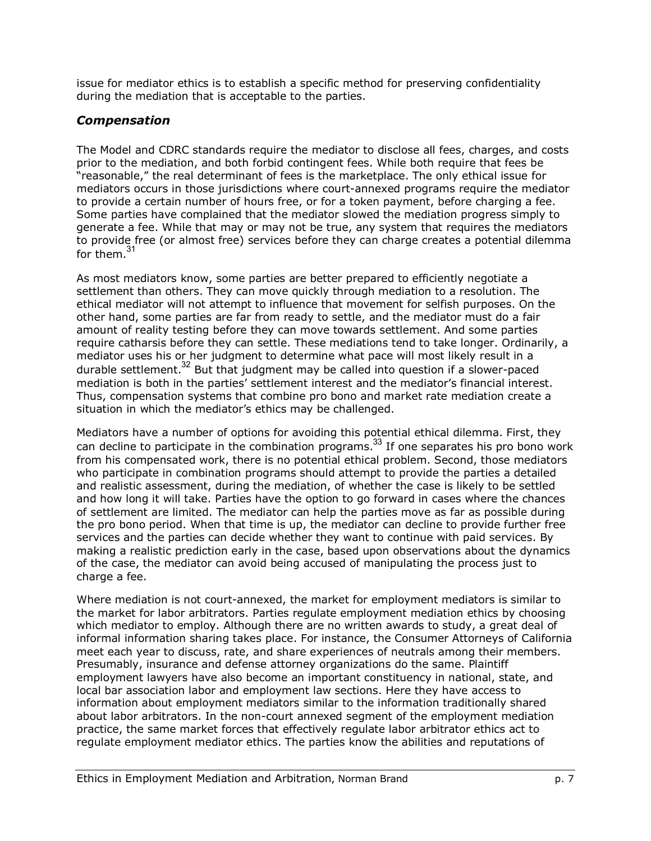issue for mediator ethics is to establish a specific method for preserving confidentiality during the mediation that is acceptable to the parties.

#### *Compensation*

The Model and CDRC standards require the mediator to disclose all fees, charges, and costs prior to the mediation, and both forbid contingent fees. While both require that fees be "reasonable," the real determinant of fees is the marketplace. The only ethical issue for mediators occurs in those jurisdictions where court-annexed programs require the mediator to provide a certain number of hours free, or for a token payment, before charging a fee. Some parties have complained that the mediator slowed the mediation progress simply to generate a fee. While that may or may not be true, any system that requires the mediators to provide free (or almost free) services before they can charge creates a potential dilemma for them.<sup>31</sup>

As most mediators know, some parties are better prepared to efficiently negotiate a settlement than others. They can move quickly through mediation to a resolution. The ethical mediator will not attempt to influence that movement for selfish purposes. On the other hand, some parties are far from ready to settle, and the mediator must do a fair amount of reality testing before they can move towards settlement. And some parties require catharsis before they can settle. These mediations tend to take longer. Ordinarily, a mediator uses his or her judgment to determine what pace will most likely result in a durable settlement.<sup>32</sup> But that judgment may be called into question if a slower-paced mediation is both in the parties' settlement interest and the mediator's financial interest. Thus, compensation systems that combine pro bono and market rate mediation create a situation in which the mediator's ethics may be challenged.

Mediators have a number of options for avoiding this potential ethical dilemma. First, they can decline to participate in the combination programs.<sup>33</sup> If one separates his pro bono work from his compensated work, there is no potential ethical problem. Second, those mediators who participate in combination programs should attempt to provide the parties a detailed and realistic assessment, during the mediation, of whether the case is likely to be settled and how long it will take. Parties have the option to go forward in cases where the chances of settlement are limited. The mediator can help the parties move as far as possible during the pro bono period. When that time is up, the mediator can decline to provide further free services and the parties can decide whether they want to continue with paid services. By making a realistic prediction early in the case, based upon observations about the dynamics of the case, the mediator can avoid being accused of manipulating the process just to charge a fee.

Where mediation is not court-annexed, the market for employment mediators is similar to the market for labor arbitrators. Parties regulate employment mediation ethics by choosing which mediator to employ. Although there are no written awards to study, a great deal of informal information sharing takes place. For instance, the Consumer Attorneys of California meet each year to discuss, rate, and share experiences of neutrals among their members. Presumably, insurance and defense attorney organizations do the same. Plaintiff employment lawyers have also become an important constituency in national, state, and local bar association labor and employment law sections. Here they have access to information about employment mediators similar to the information traditionally shared about labor arbitrators. In the non-court annexed segment of the employment mediation practice, the same market forces that effectively regulate labor arbitrator ethics act to regulate employment mediator ethics. The parties know the abilities and reputations of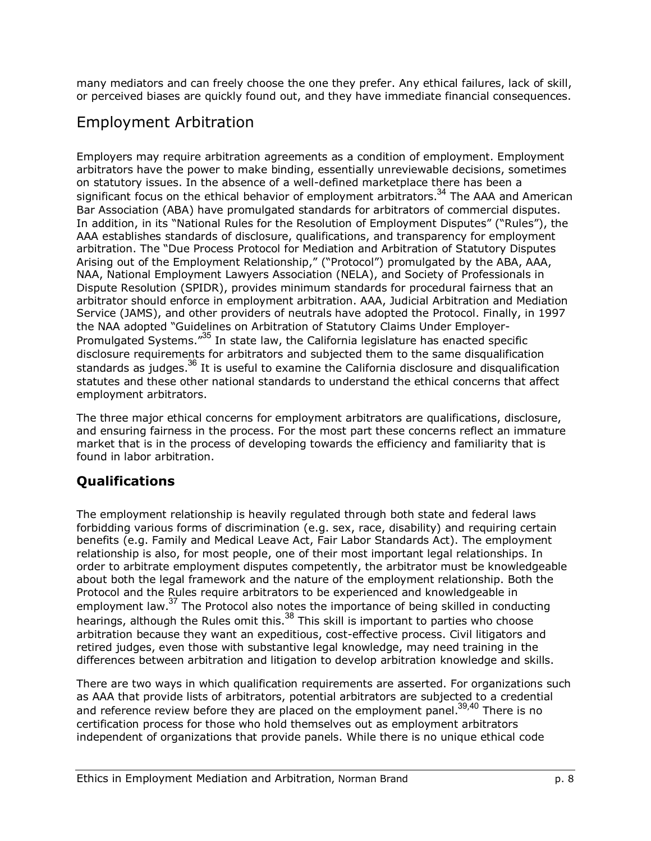many mediators and can freely choose the one they prefer. Any ethical failures, lack of skill, or perceived biases are quickly found out, and they have immediate financial consequences.

## Employment Arbitration

Employers may require arbitration agreements as a condition of employment. Employment arbitrators have the power to make binding, essentially unreviewable decisions, sometimes on statutory issues. In the absence of a well-defined marketplace there has been a significant focus on the ethical behavior of employment arbitrators.<sup>34</sup> The AAA and American Bar Association (ABA) have promulgated standards for arbitrators of commercial disputes. In addition, in its "National Rules for the Resolution of Employment Disputes" ("Rules"), the AAA establishes standards of disclosure, qualifications, and transparency for employment arbitration. The "Due Process Protocol for Mediation and Arbitration of Statutory Disputes Arising out of the Employment Relationship," ("Protocol") promulgated by the ABA, AAA, NAA, National Employment Lawyers Association (NELA), and Society of Professionals in Dispute Resolution (SPIDR), provides minimum standards for procedural fairness that an arbitrator should enforce in employment arbitration. AAA, Judicial Arbitration and Mediation Service (JAMS), and other providers of neutrals have adopted the Protocol. Finally, in 1997 the NAA adopted "Guidelines on Arbitration of Statutory Claims Under Employer-Promulgated Systems.<sup> $735$ </sup> In state law, the California legislature has enacted specific disclosure requirements for arbitrators and subjected them to the same disqualification standards as judges.<sup>36</sup> It is useful to examine the California disclosure and disqualification statutes and these other national standards to understand the ethical concerns that affect employment arbitrators.

The three major ethical concerns for employment arbitrators are qualifications, disclosure, and ensuring fairness in the process. For the most part these concerns reflect an immature market that is in the process of developing towards the efficiency and familiarity that is found in labor arbitration.

### **Qualifications**

The employment relationship is heavily regulated through both state and federal laws forbidding various forms of discrimination (e.g. sex, race, disability) and requiring certain benefits (e.g. Family and Medical Leave Act, Fair Labor Standards Act). The employment relationship is also, for most people, one of their most important legal relationships. In order to arbitrate employment disputes competently, the arbitrator must be knowledgeable about both the legal framework and the nature of the employment relationship. Both the Protocol and the Rules require arbitrators to be experienced and knowledgeable in employment law.<sup>37</sup> The Protocol also notes the importance of being skilled in conducting hearings, although the Rules omit this.<sup>38</sup> This skill is important to parties who choose arbitration because they want an expeditious, cost-effective process. Civil litigators and retired judges, even those with substantive legal knowledge, may need training in the differences between arbitration and litigation to develop arbitration knowledge and skills.

There are two ways in which qualification requirements are asserted. For organizations such as AAA that provide lists of arbitrators, potential arbitrators are subjected to a credential and reference review before they are placed on the employment panel.<sup>39,40</sup> There is no certification process for those who hold themselves out as employment arbitrators independent of organizations that provide panels. While there is no unique ethical code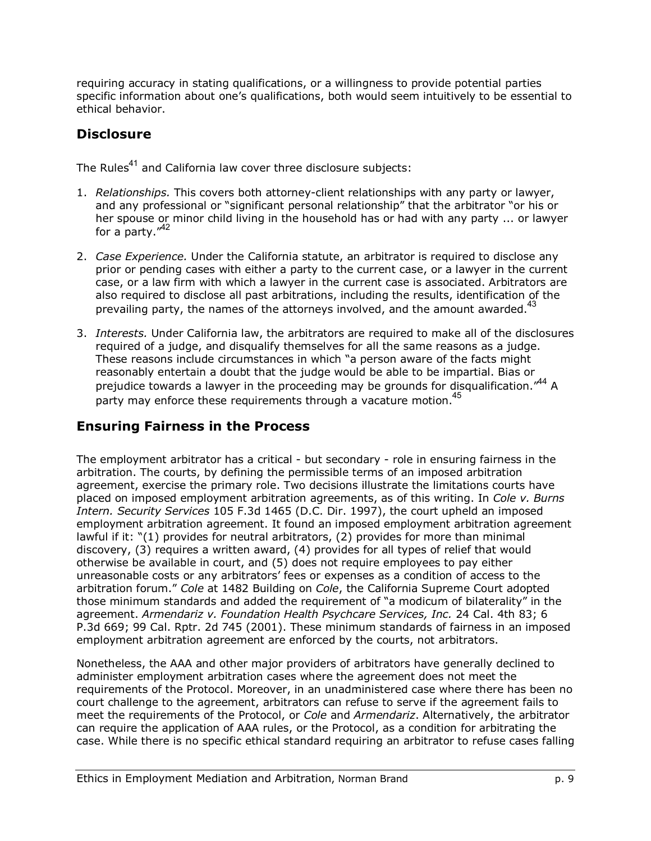requiring accuracy in stating qualifications, or a willingness to provide potential parties specific information about one's qualifications, both would seem intuitively to be essential to ethical behavior.

### **Disclosure**

The Rules<sup>41</sup> and California law cover three disclosure subjects:

- 1. *Relationships.* This covers both attorney-client relationships with any party or lawyer, and any professional or "significant personal relationship" that the arbitrator "or his or her spouse or minor child living in the household has or had with any party ... or lawyer for a party. $14^2$
- 2. *Case Experience.* Under the California statute, an arbitrator is required to disclose any prior or pending cases with either a party to the current case, or a lawyer in the current case, or a law firm with which a lawyer in the current case is associated. Arbitrators are also required to disclose all past arbitrations, including the results, identification of the prevailing party, the names of the attorneys involved, and the amount awarded.<sup>43</sup>
- 3. *Interests.* Under California law, the arbitrators are required to make all of the disclosures required of a judge, and disqualify themselves for all the same reasons as a judge. These reasons include circumstances in which "a person aware of the facts might reasonably entertain a doubt that the judge would be able to be impartial. Bias or prejudice towards a lawyer in the proceeding may be grounds for disqualification. $144$  A party may enforce these requirements through a vacature motion.<sup>45</sup>

### **Ensuring Fairness in the Process**

The employment arbitrator has a critical - but secondary - role in ensuring fairness in the arbitration. The courts, by defining the permissible terms of an imposed arbitration agreement, exercise the primary role. Two decisions illustrate the limitations courts have placed on imposed employment arbitration agreements, as of this writing. In *Cole v. Burns Intern. Security Services* 105 F.3d 1465 (D.C. Dir. 1997), the court upheld an imposed employment arbitration agreement. It found an imposed employment arbitration agreement lawful if it: "(1) provides for neutral arbitrators, (2) provides for more than minimal discovery, (3) requires a written award, (4) provides for all types of relief that would otherwise be available in court, and (5) does not require employees to pay either unreasonable costs or any arbitrators' fees or expenses as a condition of access to the arbitration forum.î *Cole* at 1482 Building on *Cole*, the California Supreme Court adopted those minimum standards and added the requirement of "a modicum of bilaterality" in the agreement. *Armendariz v. Foundation Health Psychcare Services, Inc.* 24 Cal. 4th 83; 6 P.3d 669; 99 Cal. Rptr. 2d 745 (2001). These minimum standards of fairness in an imposed employment arbitration agreement are enforced by the courts, not arbitrators.

Nonetheless, the AAA and other major providers of arbitrators have generally declined to administer employment arbitration cases where the agreement does not meet the requirements of the Protocol. Moreover, in an unadministered case where there has been no court challenge to the agreement, arbitrators can refuse to serve if the agreement fails to meet the requirements of the Protocol, or *Cole* and *Armendariz*. Alternatively, the arbitrator can require the application of AAA rules, or the Protocol, as a condition for arbitrating the case. While there is no specific ethical standard requiring an arbitrator to refuse cases falling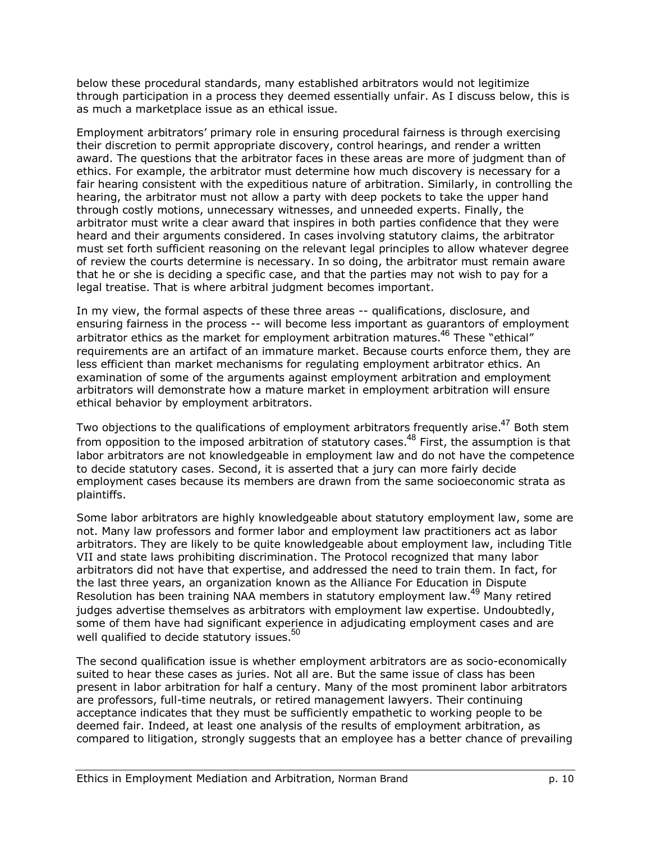below these procedural standards, many established arbitrators would not legitimize through participation in a process they deemed essentially unfair. As I discuss below, this is as much a marketplace issue as an ethical issue.

Employment arbitratorsí primary role in ensuring procedural fairness is through exercising their discretion to permit appropriate discovery, control hearings, and render a written award. The questions that the arbitrator faces in these areas are more of judgment than of ethics. For example, the arbitrator must determine how much discovery is necessary for a fair hearing consistent with the expeditious nature of arbitration. Similarly, in controlling the hearing, the arbitrator must not allow a party with deep pockets to take the upper hand through costly motions, unnecessary witnesses, and unneeded experts. Finally, the arbitrator must write a clear award that inspires in both parties confidence that they were heard and their arguments considered. In cases involving statutory claims, the arbitrator must set forth sufficient reasoning on the relevant legal principles to allow whatever degree of review the courts determine is necessary. In so doing, the arbitrator must remain aware that he or she is deciding a specific case, and that the parties may not wish to pay for a legal treatise. That is where arbitral judgment becomes important.

In my view, the formal aspects of these three areas -- qualifications, disclosure, and ensuring fairness in the process -- will become less important as guarantors of employment arbitrator ethics as the market for employment arbitration matures.<sup>46</sup> These "ethical" requirements are an artifact of an immature market. Because courts enforce them, they are less efficient than market mechanisms for regulating employment arbitrator ethics. An examination of some of the arguments against employment arbitration and employment arbitrators will demonstrate how a mature market in employment arbitration will ensure ethical behavior by employment arbitrators.

Two objections to the qualifications of employment arbitrators frequently arise.<sup>47</sup> Both stem from opposition to the imposed arbitration of statutory cases.<sup>48</sup> First, the assumption is that labor arbitrators are not knowledgeable in employment law and do not have the competence to decide statutory cases. Second, it is asserted that a jury can more fairly decide employment cases because its members are drawn from the same socioeconomic strata as plaintiffs.

Some labor arbitrators are highly knowledgeable about statutory employment law, some are not. Many law professors and former labor and employment law practitioners act as labor arbitrators. They are likely to be quite knowledgeable about employment law, including Title VII and state laws prohibiting discrimination. The Protocol recognized that many labor arbitrators did not have that expertise, and addressed the need to train them. In fact, for the last three years, an organization known as the Alliance For Education in Dispute Resolution has been training NAA members in statutory employment law.<sup>49</sup> Many retired judges advertise themselves as arbitrators with employment law expertise. Undoubtedly, some of them have had significant experience in adjudicating employment cases and are well qualified to decide statutory issues. $50$ 

The second qualification issue is whether employment arbitrators are as socio-economically suited to hear these cases as juries. Not all are. But the same issue of class has been present in labor arbitration for half a century. Many of the most prominent labor arbitrators are professors, full-time neutrals, or retired management lawyers. Their continuing acceptance indicates that they must be sufficiently empathetic to working people to be deemed fair. Indeed, at least one analysis of the results of employment arbitration, as compared to litigation, strongly suggests that an employee has a better chance of prevailing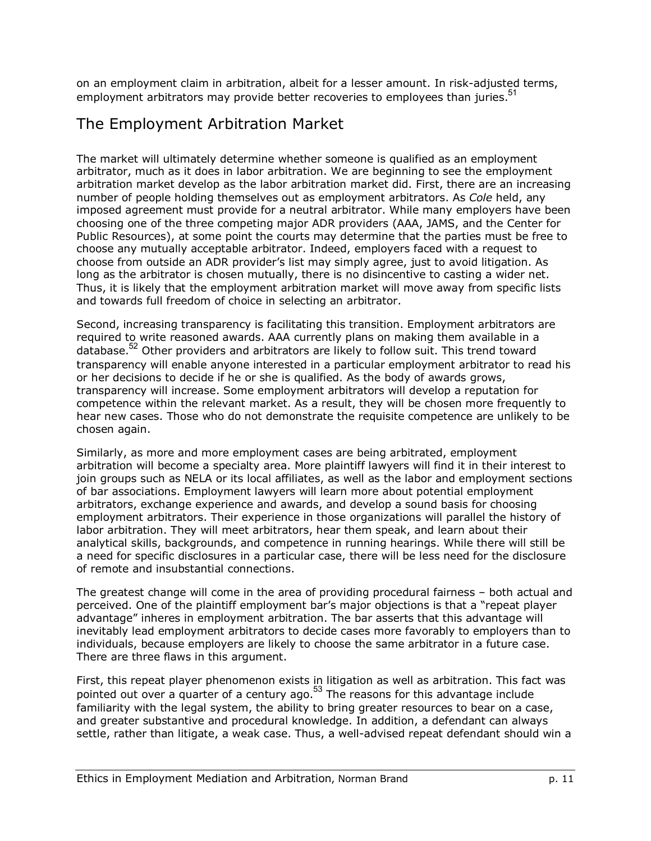on an employment claim in arbitration, albeit for a lesser amount. In risk-adjusted terms, employment arbitrators may provide better recoveries to employees than juries.<sup>51</sup>

## The Employment Arbitration Market

The market will ultimately determine whether someone is qualified as an employment arbitrator, much as it does in labor arbitration. We are beginning to see the employment arbitration market develop as the labor arbitration market did. First, there are an increasing number of people holding themselves out as employment arbitrators. As *Cole* held, any imposed agreement must provide for a neutral arbitrator. While many employers have been choosing one of the three competing major ADR providers (AAA, JAMS, and the Center for Public Resources), at some point the courts may determine that the parties must be free to choose any mutually acceptable arbitrator. Indeed, employers faced with a request to choose from outside an ADR providerís list may simply agree, just to avoid litigation. As long as the arbitrator is chosen mutually, there is no disincentive to casting a wider net. Thus, it is likely that the employment arbitration market will move away from specific lists and towards full freedom of choice in selecting an arbitrator.

Second, increasing transparency is facilitating this transition. Employment arbitrators are required to write reasoned awards. AAA currently plans on making them available in a database.<sup>52</sup> Other providers and arbitrators are likely to follow suit. This trend toward transparency will enable anyone interested in a particular employment arbitrator to read his or her decisions to decide if he or she is qualified. As the body of awards grows, transparency will increase. Some employment arbitrators will develop a reputation for competence within the relevant market. As a result, they will be chosen more frequently to hear new cases. Those who do not demonstrate the requisite competence are unlikely to be chosen again.

Similarly, as more and more employment cases are being arbitrated, employment arbitration will become a specialty area. More plaintiff lawyers will find it in their interest to join groups such as NELA or its local affiliates, as well as the labor and employment sections of bar associations. Employment lawyers will learn more about potential employment arbitrators, exchange experience and awards, and develop a sound basis for choosing employment arbitrators. Their experience in those organizations will parallel the history of labor arbitration. They will meet arbitrators, hear them speak, and learn about their analytical skills, backgrounds, and competence in running hearings. While there will still be a need for specific disclosures in a particular case, there will be less need for the disclosure of remote and insubstantial connections.

The greatest change will come in the area of providing procedural fairness  $-$  both actual and perceived. One of the plaintiff employment bar's major objections is that a "repeat player advantage" inheres in employment arbitration. The bar asserts that this advantage will inevitably lead employment arbitrators to decide cases more favorably to employers than to individuals, because employers are likely to choose the same arbitrator in a future case. There are three flaws in this argument.

First, this repeat player phenomenon exists in litigation as well as arbitration. This fact was pointed out over a quarter of a century ago. $53$  The reasons for this advantage include familiarity with the legal system, the ability to bring greater resources to bear on a case, and greater substantive and procedural knowledge. In addition, a defendant can always settle, rather than litigate, a weak case. Thus, a well-advised repeat defendant should win a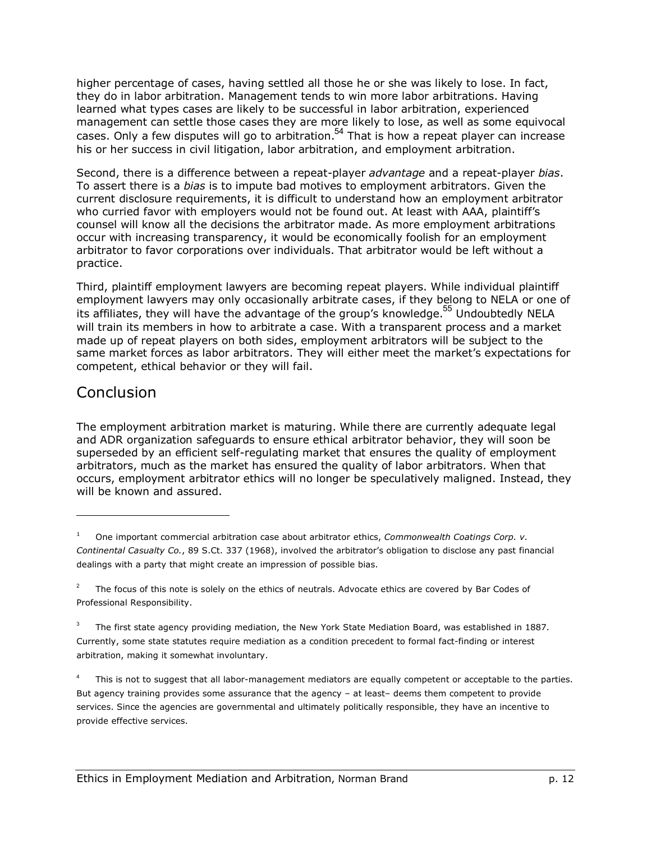higher percentage of cases, having settled all those he or she was likely to lose. In fact, they do in labor arbitration. Management tends to win more labor arbitrations. Having learned what types cases are likely to be successful in labor arbitration, experienced management can settle those cases they are more likely to lose, as well as some equivocal cases. Only a few disputes will go to arbitration.<sup>54</sup> That is how a repeat player can increase his or her success in civil litigation, labor arbitration, and employment arbitration.

Second, there is a difference between a repeat-player *advantage* and a repeat-player *bias*. To assert there is a *bias* is to impute bad motives to employment arbitrators. Given the current disclosure requirements, it is difficult to understand how an employment arbitrator who curried favor with employers would not be found out. At least with AAA, plaintiff's counsel will know all the decisions the arbitrator made. As more employment arbitrations occur with increasing transparency, it would be economically foolish for an employment arbitrator to favor corporations over individuals. That arbitrator would be left without a practice.

Third, plaintiff employment lawyers are becoming repeat players. While individual plaintiff employment lawyers may only occasionally arbitrate cases, if they belong to NELA or one of its affiliates, they will have the advantage of the group's knowledge.<sup>55</sup> Undoubtedly NELA will train its members in how to arbitrate a case. With a transparent process and a market made up of repeat players on both sides, employment arbitrators will be subject to the same market forces as labor arbitrators. They will either meet the market's expectations for competent, ethical behavior or they will fail.

### **Conclusion**

1

The employment arbitration market is maturing. While there are currently adequate legal and ADR organization safeguards to ensure ethical arbitrator behavior, they will soon be superseded by an efficient self-regulating market that ensures the quality of employment arbitrators, much as the market has ensured the quality of labor arbitrators. When that occurs, employment arbitrator ethics will no longer be speculatively maligned. Instead, they will be known and assured.

<sup>1</sup> One important commercial arbitration case about arbitrator ethics, *Commonwealth Coatings Corp. v. Continental Casualty Co.*, 89 S.Ct. 337 (1968), involved the arbitratorís obligation to disclose any past financial dealings with a party that might create an impression of possible bias.

<sup>2</sup> The focus of this note is solely on the ethics of neutrals. Advocate ethics are covered by Bar Codes of Professional Responsibility.

<sup>3</sup> The first state agency providing mediation, the New York State Mediation Board, was established in 1887. Currently, some state statutes require mediation as a condition precedent to formal fact-finding or interest arbitration, making it somewhat involuntary.

<sup>4</sup> This is not to suggest that all labor-management mediators are equally competent or acceptable to the parties. But agency training provides some assurance that the agency - at least- deems them competent to provide services. Since the agencies are governmental and ultimately politically responsible, they have an incentive to provide effective services.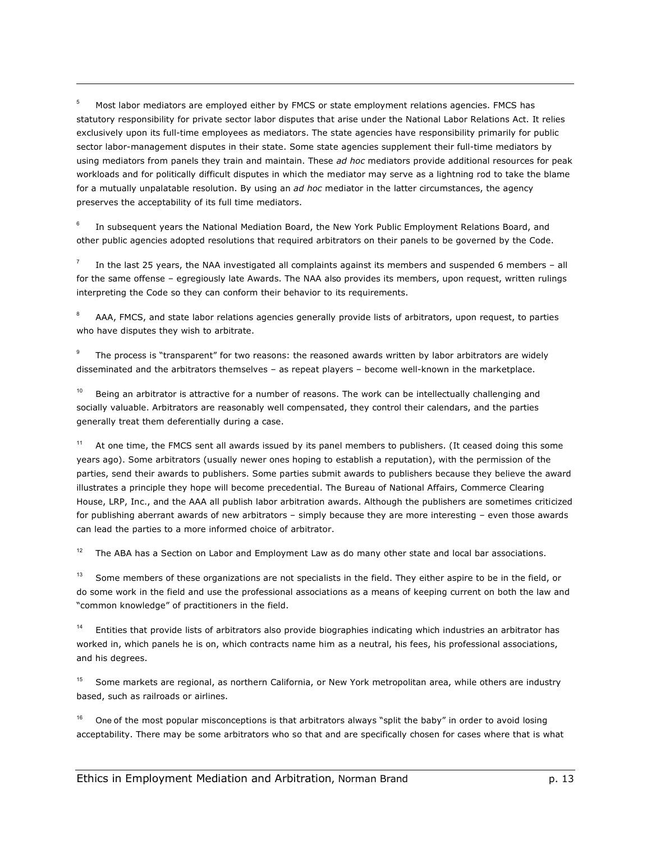5 Most labor mediators are employed either by FMCS or state employment relations agencies. FMCS has statutory responsibility for private sector labor disputes that arise under the National Labor Relations Act. It relies exclusively upon its full-time employees as mediators. The state agencies have responsibility primarily for public sector labor-management disputes in their state. Some state agencies supplement their full-time mediators by using mediators from panels they train and maintain. These *ad hoc* mediators provide additional resources for peak workloads and for politically difficult disputes in which the mediator may serve as a lightning rod to take the blame for a mutually unpalatable resolution. By using an *ad hoc* mediator in the latter circumstances, the agency preserves the acceptability of its full time mediators.

1

6 In subsequent years the National Mediation Board, the New York Public Employment Relations Board, and other public agencies adopted resolutions that required arbitrators on their panels to be governed by the Code.

7 In the last 25 years, the NAA investigated all complaints against its members and suspended 6 members  $-$  all for the same offense - egregiously late Awards. The NAA also provides its members, upon request, written rulings interpreting the Code so they can conform their behavior to its requirements.

8 AAA, FMCS, and state labor relations agencies generally provide lists of arbitrators, upon request, to parties who have disputes they wish to arbitrate.

9 The process is "transparent" for two reasons: the reasoned awards written by labor arbitrators are widely disseminated and the arbitrators themselves - as repeat players - become well-known in the marketplace.

Being an arbitrator is attractive for a number of reasons. The work can be intellectually challenging and socially valuable. Arbitrators are reasonably well compensated, they control their calendars, and the parties generally treat them deferentially during a case.

At one time, the FMCS sent all awards issued by its panel members to publishers. (It ceased doing this some years ago). Some arbitrators (usually newer ones hoping to establish a reputation), with the permission of the parties, send their awards to publishers. Some parties submit awards to publishers because they believe the award illustrates a principle they hope will become precedential. The Bureau of National Affairs, Commerce Clearing House, LRP, Inc., and the AAA all publish labor arbitration awards. Although the publishers are sometimes criticized for publishing aberrant awards of new arbitrators – simply because they are more interesting – even those awards can lead the parties to a more informed choice of arbitrator.

 $12$  The ABA has a Section on Labor and Employment Law as do many other state and local bar associations.

Some members of these organizations are not specialists in the field. They either aspire to be in the field, or do some work in the field and use the professional associations as a means of keeping current on both the law and "common knowledge" of practitioners in the field.

14 Entities that provide lists of arbitrators also provide biographies indicating which industries an arbitrator has worked in, which panels he is on, which contracts name him as a neutral, his fees, his professional associations, and his degrees.

<sup>15</sup> Some markets are regional, as northern California, or New York metropolitan area, while others are industry based, such as railroads or airlines.

One of the most popular misconceptions is that arbitrators always "split the baby" in order to avoid losing acceptability. There may be some arbitrators who so that and are specifically chosen for cases where that is what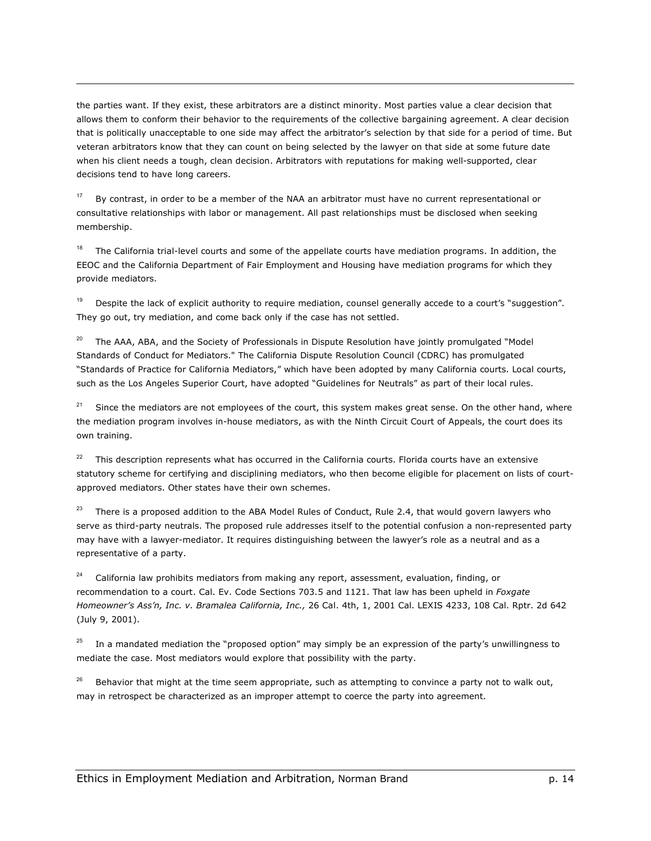the parties want. If they exist, these arbitrators are a distinct minority. Most parties value a clear decision that allows them to conform their behavior to the requirements of the collective bargaining agreement. A clear decision that is politically unacceptable to one side may affect the arbitrator's selection by that side for a period of time. But veteran arbitrators know that they can count on being selected by the lawyer on that side at some future date when his client needs a tough, clean decision. Arbitrators with reputations for making well-supported, clear decisions tend to have long careers.

By contrast, in order to be a member of the NAA an arbitrator must have no current representational or consultative relationships with labor or management. All past relationships must be disclosed when seeking membership.

1

The California trial-level courts and some of the appellate courts have mediation programs. In addition, the EEOC and the California Department of Fair Employment and Housing have mediation programs for which they provide mediators.

Despite the lack of explicit authority to require mediation, counsel generally accede to a court's "suggestion". They go out, try mediation, and come back only if the case has not settled.

 $20$  The AAA, ABA, and the Society of Professionals in Dispute Resolution have jointly promulgated "Model Standards of Conduct for Mediators." The California Dispute Resolution Council (CDRC) has promulgated "Standards of Practice for California Mediators," which have been adopted by many California courts. Local courts, such as the Los Angeles Superior Court, have adopted "Guidelines for Neutrals" as part of their local rules.

<sup>21</sup> Since the mediators are not employees of the court, this system makes great sense. On the other hand, where the mediation program involves in-house mediators, as with the Ninth Circuit Court of Appeals, the court does its own training.

 $22$  This description represents what has occurred in the California courts. Florida courts have an extensive statutory scheme for certifying and disciplining mediators, who then become eligible for placement on lists of courtapproved mediators. Other states have their own schemes.

There is a proposed addition to the ABA Model Rules of Conduct, Rule 2.4, that would govern lawyers who serve as third-party neutrals. The proposed rule addresses itself to the potential confusion a non-represented party may have with a lawyer-mediator. It requires distinguishing between the lawyer's role as a neutral and as a representative of a party.

California law prohibits mediators from making any report, assessment, evaluation, finding, or recommendation to a court. Cal. Ev. Code Sections 703.5 and 1121. That law has been upheld in *Foxgate Homeownerís Assín, Inc. v. Bramalea California, Inc.,* 26 Cal. 4th, 1, 2001 Cal. LEXIS 4233, 108 Cal. Rptr. 2d 642 (July 9, 2001).

In a mandated mediation the "proposed option" may simply be an expression of the party's unwillingness to mediate the case. Most mediators would explore that possibility with the party.

Behavior that might at the time seem appropriate, such as attempting to convince a party not to walk out, may in retrospect be characterized as an improper attempt to coerce the party into agreement.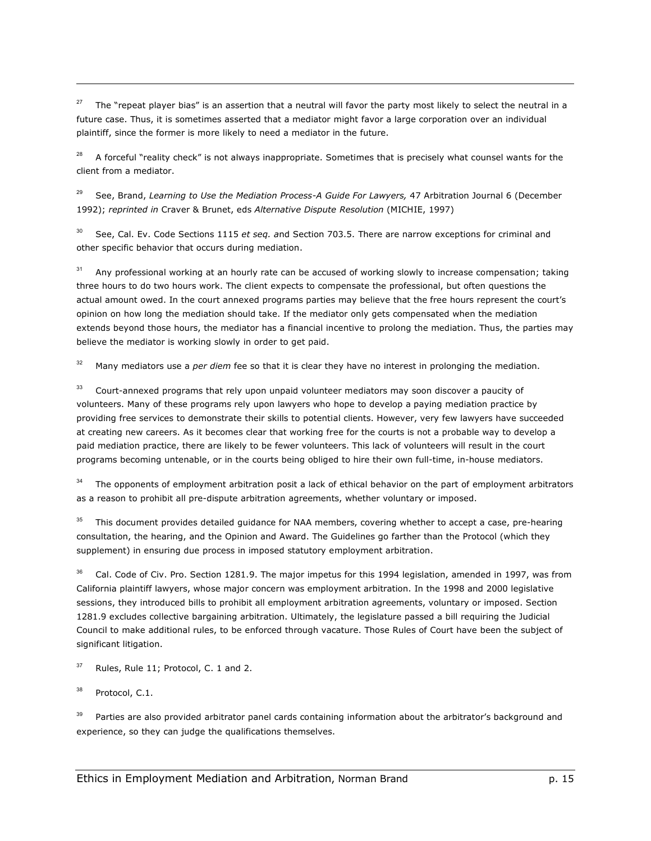The "repeat player bias" is an assertion that a neutral will favor the party most likely to select the neutral in a future case. Thus, it is sometimes asserted that a mediator might favor a large corporation over an individual plaintiff, since the former is more likely to need a mediator in the future.

<sup>28</sup> A forceful "reality check" is not always inappropriate. Sometimes that is precisely what counsel wants for the client from a mediator.

29 See, Brand, *Learning to Use the Mediation Process-A Guide For Lawyers,* 47 Arbitration Journal 6 (December 1992); *reprinted in* Craver & Brunet, eds *Alternative Dispute Resolution* (MICHIE, 1997)

30 See, Cal. Ev. Code Sections 1115 *et seq. a*nd Section 703.5. There are narrow exceptions for criminal and other specific behavior that occurs during mediation.

<sup>31</sup> Any professional working at an hourly rate can be accused of working slowly to increase compensation; taking three hours to do two hours work. The client expects to compensate the professional, but often questions the actual amount owed. In the court annexed programs parties may believe that the free hours represent the court's opinion on how long the mediation should take. If the mediator only gets compensated when the mediation extends beyond those hours, the mediator has a financial incentive to prolong the mediation. Thus, the parties may believe the mediator is working slowly in order to get paid.

<sup>32</sup> Many mediators use a *per diem* fee so that it is clear they have no interest in prolonging the mediation.

<sup>33</sup> Court-annexed programs that rely upon unpaid volunteer mediators may soon discover a paucity of volunteers. Many of these programs rely upon lawyers who hope to develop a paying mediation practice by providing free services to demonstrate their skills to potential clients. However, very few lawyers have succeeded at creating new careers. As it becomes clear that working free for the courts is not a probable way to develop a paid mediation practice, there are likely to be fewer volunteers. This lack of volunteers will result in the court programs becoming untenable, or in the courts being obliged to hire their own full-time, in-house mediators.

The opponents of employment arbitration posit a lack of ethical behavior on the part of employment arbitrators as a reason to prohibit all pre-dispute arbitration agreements, whether voluntary or imposed.

<sup>35</sup> This document provides detailed guidance for NAA members, covering whether to accept a case, pre-hearing consultation, the hearing, and the Opinion and Award. The Guidelines go farther than the Protocol (which they supplement) in ensuring due process in imposed statutory employment arbitration.

Cal. Code of Civ. Pro. Section 1281.9. The major impetus for this 1994 legislation, amended in 1997, was from California plaintiff lawyers, whose major concern was employment arbitration. In the 1998 and 2000 legislative sessions, they introduced bills to prohibit all employment arbitration agreements, voluntary or imposed. Section 1281.9 excludes collective bargaining arbitration. Ultimately, the legislature passed a bill requiring the Judicial Council to make additional rules, to be enforced through vacature. Those Rules of Court have been the subject of significant litigation.

 $37$  Rules, Rule 11; Protocol, C. 1 and 2.

Protocol, C.1.

1

Parties are also provided arbitrator panel cards containing information about the arbitrator's background and experience, so they can judge the qualifications themselves.